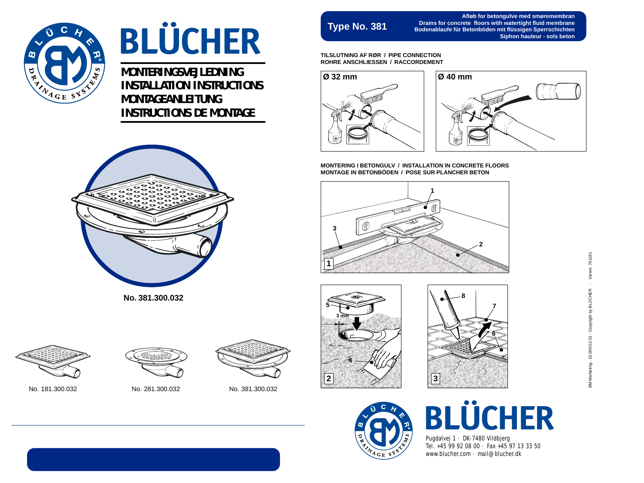

## **BLÜCHER**

**MONTERINGSVEJLEDNING INSTALLATION INSTRUCTIONS MONTAGEANLEITUNG INSTRUCTIONS DE MONTAGE**



**No. 381.300.032**



**Afløb for betongulve med smøremembran Drains for concrete floors with watertight fluid membrane Bodenablaufe für Betonböden mit flüssigen Sperrschichten Siphon hauteur - sols beton**

**TILSLUTNING AF RØR / PIPE CONNECTION ROHRE ANSCHLIESSEN / RACCORDEMENT**





**MONTERING I BETONGULV / INSTALLATION IN CONCRETE FLOORS MONTAGE IN BETONBÖDEN / POSE SUR PLANCHER BETON**



● **5 3 mm 4**  $\rightarrow$ **2 3**





No. 181.300.032 No. 281.300.032 No. 381.300.032



## **BLÜCHER**

Pugdalvej 1 · DK-7480 Vildbjerg Tel. +45 99 92 08 00 · Fax +45 97 13 33 50 www.blucher.com · mail@blucher.dk